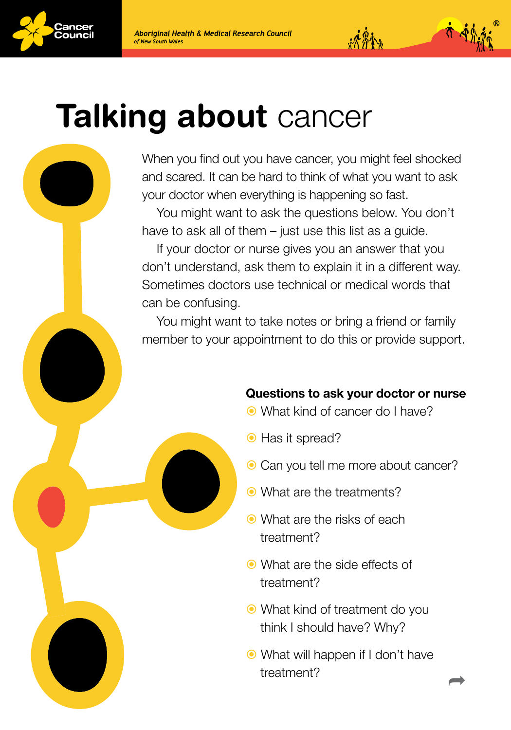





## **Talking about cancer**

When you find out you have cancer, you might feel shocked and scared. It can be hard to think of what you want to ask your doctor when everything is happening so fast.

You might want to ask the questions below. You don't have to ask all of them – just use this list as a guide.

If your doctor or nurse gives you an answer that you don't understand, ask them to explain it in a different way. Sometimes doctors use technical or medical words that can be confusing.

You might want to take notes or bring a friend or family member to your appointment to do this or provide support.

## Questions to ask your doctor or nurse

 $14.841$ 

- What kind of cancer do I have?
- $\bullet$  Has it spread?
- $\odot$  Can you tell me more about cancer?
- What are the treatments?
- What are the risks of each treatment?
- What are the side effects of treatment?
- What kind of treatment do you think I should have? Why?
- What will happen if I don't have treatment?